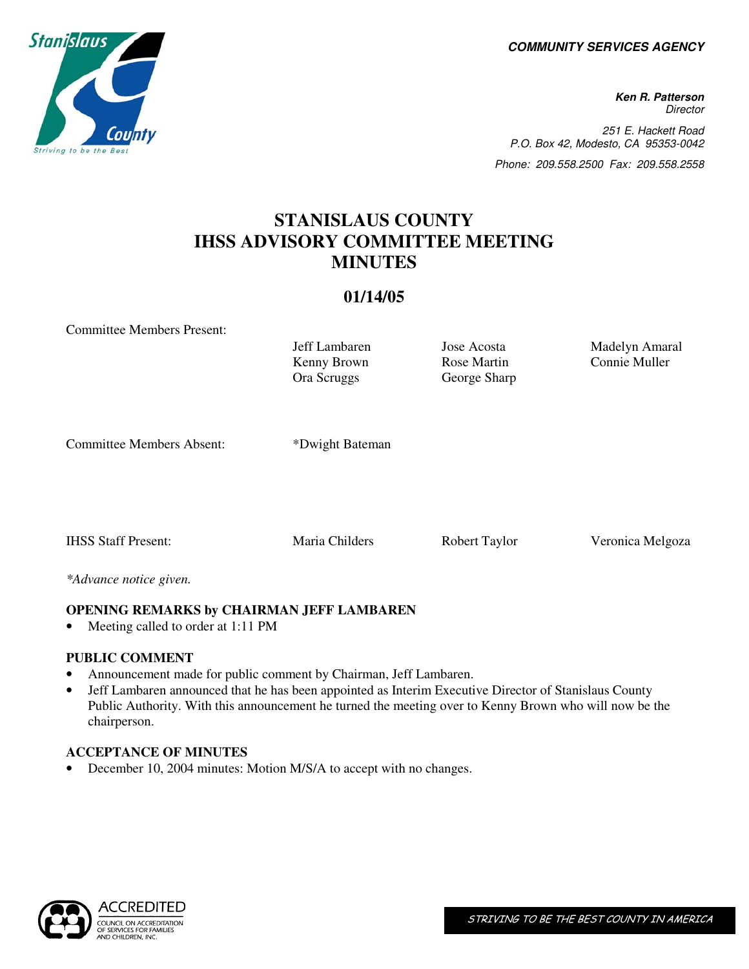**COMMUNITY SERVICES AGENCY** 

**Ken R. Patterson Director** 251 E. Hackett Road P.O. Box 42, Modesto, CA 95353-0042 Phone: 209.558.2500 Fax: 209.558.2558

# **STANISLAUS COUNTY IHSS ADVISORY COMMITTEE MEETING MINUTES**

### **01/14/05**

Committee Members Present:

Kenny Brown Ora Scruggs

Rose Martin George Sharp

Jeff Lambaren Jose Acosta Madelyn Amaral Connie Muller

Committee Members Absent: \*Dwight Bateman

IHSS Staff Present: Maria Childers Robert Taylor Veronica Melgoza

*\*Advance notice given.* 

## **OPENING REMARKS by CHAIRMAN JEFF LAMBAREN**

• Meeting called to order at 1:11 PM

## **PUBLIC COMMENT**

- Announcement made for public comment by Chairman, Jeff Lambaren.
- Jeff Lambaren announced that he has been appointed as Interim Executive Director of Stanislaus County Public Authority. With this announcement he turned the meeting over to Kenny Brown who will now be the chairperson.

#### **ACCEPTANCE OF MINUTES**

December 10, 2004 minutes: Motion M/S/A to accept with no changes.





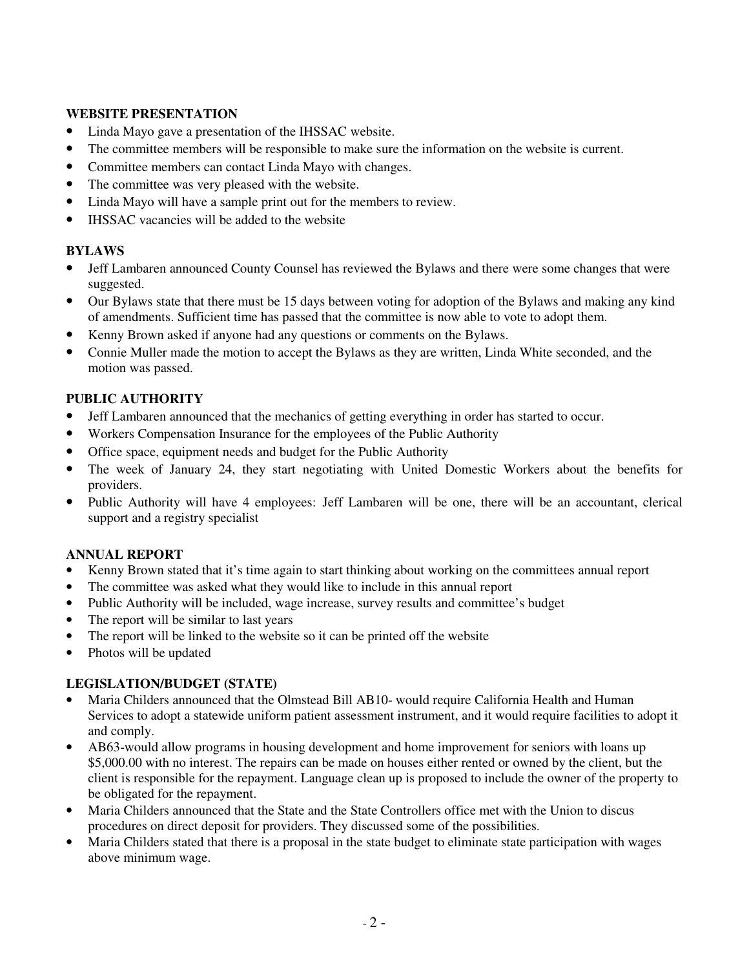#### **WEBSITE PRESENTATION**

- Linda Mayo gave a presentation of the IHSSAC website.
- The committee members will be responsible to make sure the information on the website is current.
- Committee members can contact Linda Mayo with changes.
- The committee was very pleased with the website.
- Linda Mayo will have a sample print out for the members to review.
- IHSSAC vacancies will be added to the website

#### **BYLAWS**

- Jeff Lambaren announced County Counsel has reviewed the Bylaws and there were some changes that were suggested.
- Our Bylaws state that there must be 15 days between voting for adoption of the Bylaws and making any kind of amendments. Sufficient time has passed that the committee is now able to vote to adopt them.
- Kenny Brown asked if anyone had any questions or comments on the Bylaws.
- Connie Muller made the motion to accept the Bylaws as they are written, Linda White seconded, and the motion was passed.

#### **PUBLIC AUTHORITY**

- Jeff Lambaren announced that the mechanics of getting everything in order has started to occur.
- Workers Compensation Insurance for the employees of the Public Authority
- Office space, equipment needs and budget for the Public Authority
- The week of January 24, they start negotiating with United Domestic Workers about the benefits for providers.
- Public Authority will have 4 employees: Jeff Lambaren will be one, there will be an accountant, clerical support and a registry specialist

#### **ANNUAL REPORT**

- Kenny Brown stated that it's time again to start thinking about working on the committees annual report
- The committee was asked what they would like to include in this annual report
- Public Authority will be included, wage increase, survey results and committee's budget
- The report will be similar to last years
- The report will be linked to the website so it can be printed off the website
- Photos will be updated

#### **LEGISLATION/BUDGET (STATE)**

- Maria Childers announced that the Olmstead Bill AB10- would require California Health and Human Services to adopt a statewide uniform patient assessment instrument, and it would require facilities to adopt it and comply.
- AB63-would allow programs in housing development and home improvement for seniors with loans up \$5,000.00 with no interest. The repairs can be made on houses either rented or owned by the client, but the client is responsible for the repayment. Language clean up is proposed to include the owner of the property to be obligated for the repayment.
- Maria Childers announced that the State and the State Controllers office met with the Union to discus procedures on direct deposit for providers. They discussed some of the possibilities.
- Maria Childers stated that there is a proposal in the state budget to eliminate state participation with wages above minimum wage.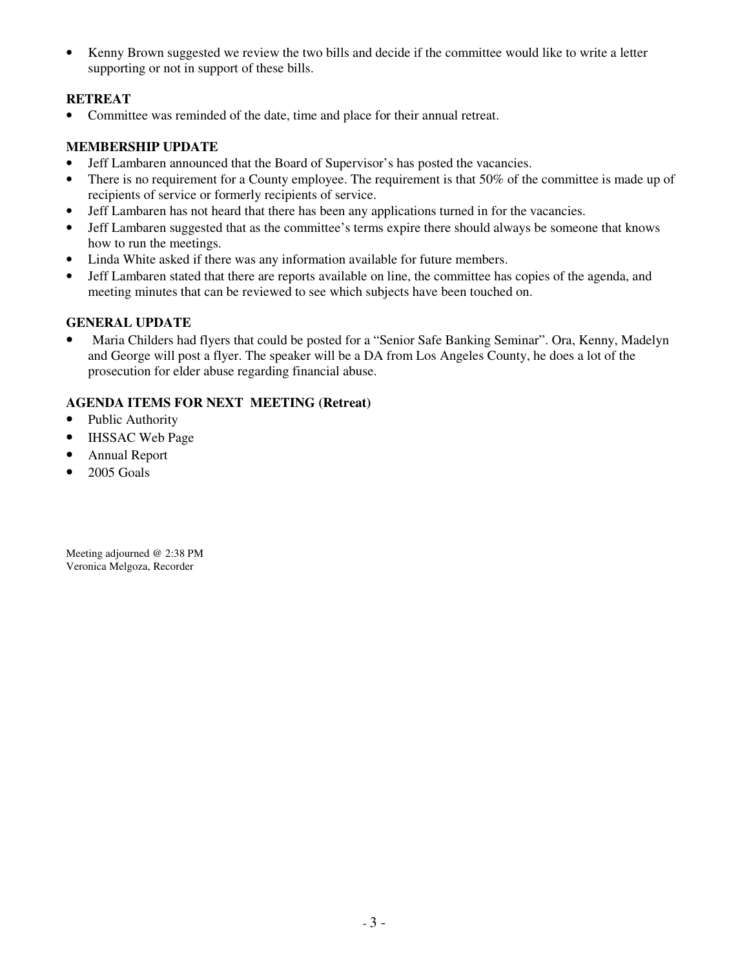• Kenny Brown suggested we review the two bills and decide if the committee would like to write a letter supporting or not in support of these bills.

#### **RETREAT**

• Committee was reminded of the date, time and place for their annual retreat.

#### **MEMBERSHIP UPDATE**

- Jeff Lambaren announced that the Board of Supervisor's has posted the vacancies.
- There is no requirement for a County employee. The requirement is that 50% of the committee is made up of recipients of service or formerly recipients of service.
- Jeff Lambaren has not heard that there has been any applications turned in for the vacancies.
- Jeff Lambaren suggested that as the committee's terms expire there should always be someone that knows how to run the meetings.
- Linda White asked if there was any information available for future members.
- Jeff Lambaren stated that there are reports available on line, the committee has copies of the agenda, and meeting minutes that can be reviewed to see which subjects have been touched on.

#### **GENERAL UPDATE**

• Maria Childers had flyers that could be posted for a "Senior Safe Banking Seminar". Ora, Kenny, Madelyn and George will post a flyer. The speaker will be a DA from Los Angeles County, he does a lot of the prosecution for elder abuse regarding financial abuse.

#### **AGENDA ITEMS FOR NEXT MEETING (Retreat)**

- Public Authority
- IHSSAC Web Page
- Annual Report
- 2005 Goals

Meeting adjourned @ 2:38 PM Veronica Melgoza, Recorder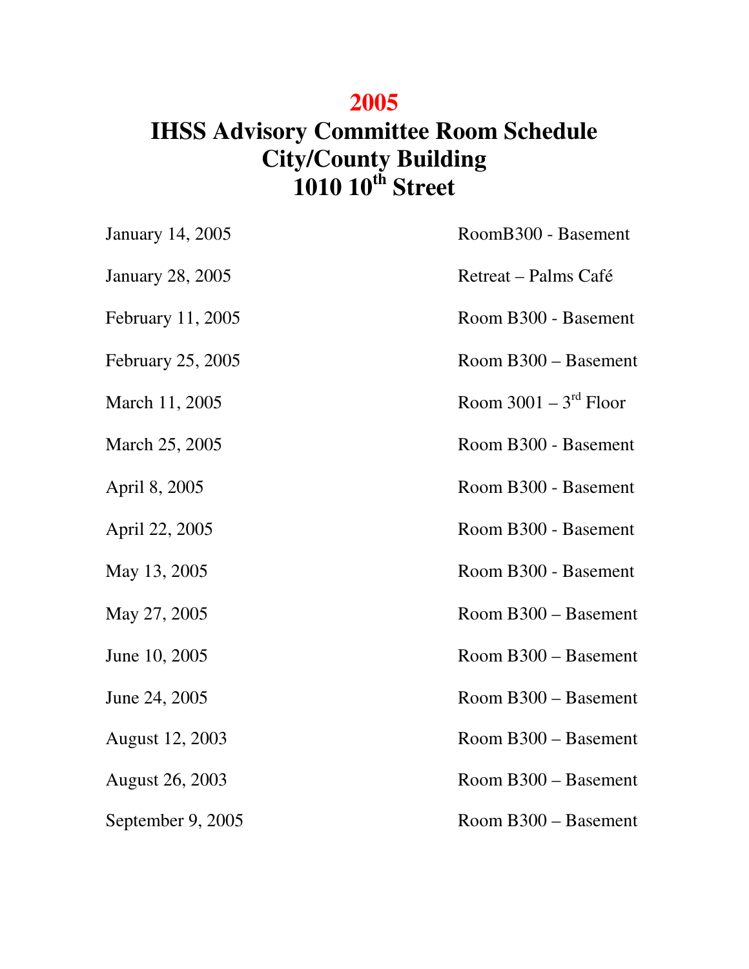# **2005**

# **IHSS Advisory Committee Room Schedule City/County Building 1010 10th Street**

| <b>January 14, 2005</b> | RoomB300 - Basement     |
|-------------------------|-------------------------|
| <b>January 28, 2005</b> | Retreat – Palms Café    |
| February 11, 2005       | Room B300 - Basement    |
| February 25, 2005       | Room B300 – Basement    |
| March 11, 2005          | Room $3001 - 3rd$ Floor |
| March 25, 2005          | Room B300 - Basement    |
| April 8, 2005           | Room B300 - Basement    |
| April 22, 2005          | Room B300 - Basement    |
| May 13, 2005            | Room B300 - Basement    |
| May 27, 2005            | Room B300 - Basement    |
| June 10, 2005           | Room B300 - Basement    |
| June 24, 2005           | Room B300 - Basement    |
| August 12, 2003         | Room B300 - Basement    |
| <b>August 26, 2003</b>  | Room B300 - Basement    |
| September 9, 2005       | Room B300 - Basement    |